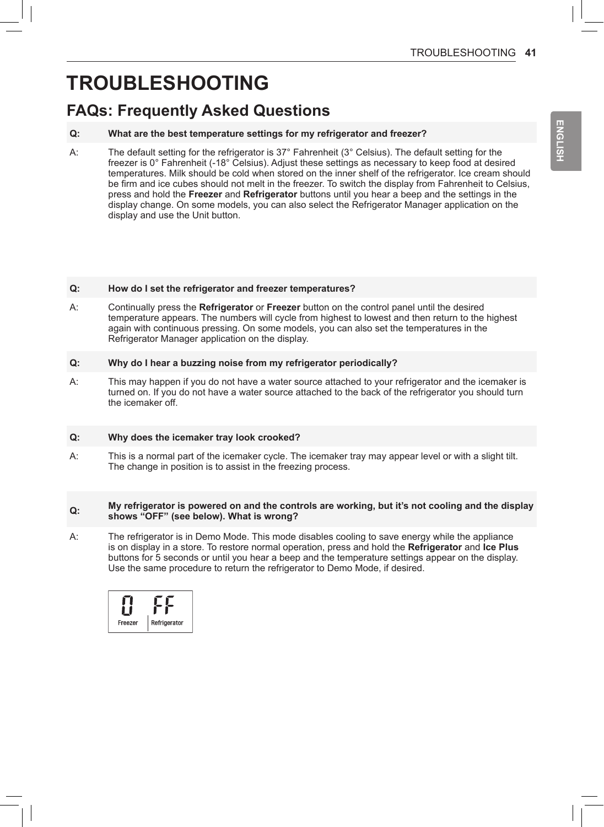# **TROUBLESHOOTING**

## **FAQs: Frequently Asked Questions**

### **Q: What are the best temperature settings for my refrigerator and freezer?**

A: The default setting for the refrigerator is 37° Fahrenheit (3° Celsius). The default setting for the freezer is 0° Fahrenheit (-18° Celsius). Adjust these settings as necessary to keep food at desired temperatures. Milk should be cold when stored on the inner shelf of the refrigerator. Ice cream should be firm and ice cubes should not melt in the freezer. To switch the display from Fahrenheit to Celsius, press and hold the **Freezer** and **Refrigerator** buttons until you hear a beep and the settings in the display change. On some models, you can also select the Refrigerator Manager application on the display and use the Unit button.

#### **Q: How do I set the refrigerator and freezer temperatures?**

A: Continually press the **Refrigerator** or **Freezer** button on the control panel until the desired temperature appears. The numbers will cycle from highest to lowest and then return to the highest again with continuous pressing. On some models, you can also set the temperatures in the Refrigerator Manager application on the display.

#### **Q: Why do I hear a buzzing noise from my refrigerator periodically?**

A: This may happen if you do not have a water source attached to your refrigerator and the icemaker is turned on. If you do not have a water source attached to the back of the refrigerator you should turn the icemaker off.

#### **Q: Why does the icemaker tray look crooked?**

A: This is a normal part of the icemaker cycle. The icemaker tray may appear level or with a slight tilt. The change in position is to assist in the freezing process.

#### **Q: My refrigerator is powered on and the controls are working, but it's not cooling and the display shows "OFF" (see below). What is wrong?**

A: The refrigerator is in Demo Mode. This mode disables cooling to save energy while the appliance is on display in a store. To restore normal operation, press and hold the **Refrigerator** and **Ice Plus** buttons for 5 seconds or until you hear a beep and the temperature settings appear on the display. Use the same procedure to return the refrigerator to Demo Mode, if desired.

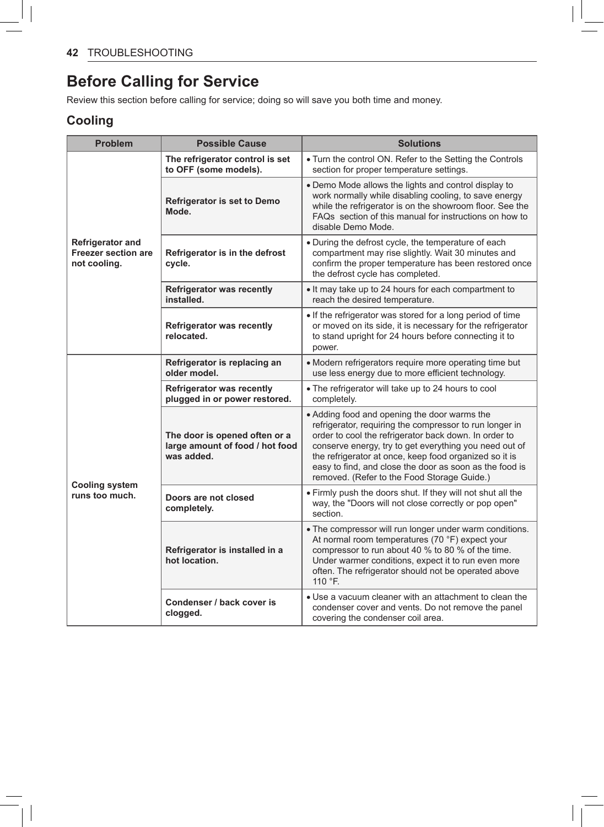# **Before Calling for Service**

Review this section before calling for service; doing so will save you both time and money.

### **Cooling**

| <b>Problem</b>                                                        | <b>Possible Cause</b>                                                          | <b>Solutions</b>                                                                                                                                                                                                                                                                                                                                                                               |  |
|-----------------------------------------------------------------------|--------------------------------------------------------------------------------|------------------------------------------------------------------------------------------------------------------------------------------------------------------------------------------------------------------------------------------------------------------------------------------------------------------------------------------------------------------------------------------------|--|
| <b>Refrigerator and</b><br><b>Freezer section are</b><br>not cooling. | The refrigerator control is set<br>to OFF (some models).                       | . Turn the control ON. Refer to the Setting the Controls<br>section for proper temperature settings.                                                                                                                                                                                                                                                                                           |  |
|                                                                       | <b>Refrigerator is set to Demo</b><br>Mode.                                    | . Demo Mode allows the lights and control display to<br>work normally while disabling cooling, to save energy<br>while the refrigerator is on the showroom floor. See the<br>FAQs section of this manual for instructions on how to<br>disable Demo Mode.                                                                                                                                      |  |
|                                                                       | Refrigerator is in the defrost<br>cycle.                                       | . During the defrost cycle, the temperature of each<br>compartment may rise slightly. Wait 30 minutes and<br>confirm the proper temperature has been restored once<br>the defrost cycle has completed.                                                                                                                                                                                         |  |
|                                                                       | <b>Refrigerator was recently</b><br>installed.                                 | . It may take up to 24 hours for each compartment to<br>reach the desired temperature.                                                                                                                                                                                                                                                                                                         |  |
|                                                                       | Refrigerator was recently<br>relocated.                                        | • If the refrigerator was stored for a long period of time<br>or moved on its side, it is necessary for the refrigerator<br>to stand upright for 24 hours before connecting it to<br>power.                                                                                                                                                                                                    |  |
| <b>Cooling system</b><br>runs too much.                               | Refrigerator is replacing an<br>older model.                                   | • Modern refrigerators require more operating time but<br>use less energy due to more efficient technology.                                                                                                                                                                                                                                                                                    |  |
|                                                                       | <b>Refrigerator was recently</b><br>plugged in or power restored.              | • The refrigerator will take up to 24 hours to cool<br>completely.                                                                                                                                                                                                                                                                                                                             |  |
|                                                                       | The door is opened often or a<br>large amount of food / hot food<br>was added. | • Adding food and opening the door warms the<br>refrigerator, requiring the compressor to run longer in<br>order to cool the refrigerator back down. In order to<br>conserve energy, try to get everything you need out of<br>the refrigerator at once, keep food organized so it is<br>easy to find, and close the door as soon as the food is<br>removed. (Refer to the Food Storage Guide.) |  |
|                                                                       | Doors are not closed<br>completely.                                            | . Firmly push the doors shut. If they will not shut all the<br>way, the "Doors will not close correctly or pop open"<br>section.                                                                                                                                                                                                                                                               |  |
|                                                                       | Refrigerator is installed in a<br>hot location.                                | . The compressor will run longer under warm conditions.<br>At normal room temperatures (70 °F) expect your<br>compressor to run about 40 % to 80 % of the time.<br>Under warmer conditions, expect it to run even more<br>often. The refrigerator should not be operated above<br>110 °F.                                                                                                      |  |
|                                                                       | Condenser / back cover is<br>clogged.                                          | • Use a vacuum cleaner with an attachment to clean the<br>condenser cover and vents. Do not remove the panel<br>covering the condenser coil area.                                                                                                                                                                                                                                              |  |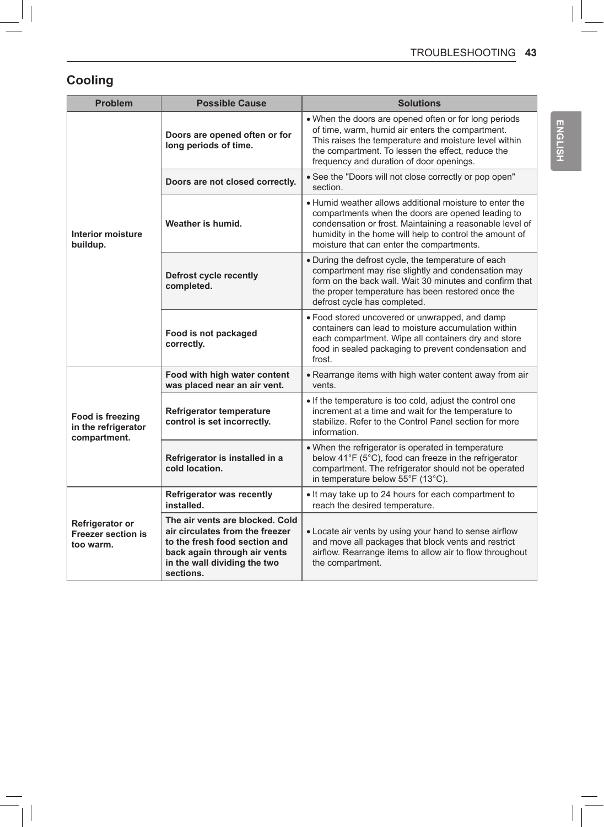# **Cooling**

| <b>Problem</b>                                            | <b>Possible Cause</b>                                                                                                                                                            | <b>Solutions</b>                                                                                                                                                                                                                                                                 |  |
|-----------------------------------------------------------|----------------------------------------------------------------------------------------------------------------------------------------------------------------------------------|----------------------------------------------------------------------------------------------------------------------------------------------------------------------------------------------------------------------------------------------------------------------------------|--|
| <b>Interior moisture</b><br>buildup.                      | Doors are opened often or for<br>long periods of time.                                                                                                                           | . When the doors are opened often or for long periods<br>of time, warm, humid air enters the compartment.<br>This raises the temperature and moisture level within<br>the compartment. To lessen the effect, reduce the<br>frequency and duration of door openings.              |  |
|                                                           | Doors are not closed correctly.                                                                                                                                                  | • See the "Doors will not close correctly or pop open"<br>section.                                                                                                                                                                                                               |  |
|                                                           | Weather is humid.                                                                                                                                                                | . Humid weather allows additional moisture to enter the<br>compartments when the doors are opened leading to<br>condensation or frost. Maintaining a reasonable level of<br>humidity in the home will help to control the amount of<br>moisture that can enter the compartments. |  |
|                                                           | Defrost cycle recently<br>completed.                                                                                                                                             | • During the defrost cycle, the temperature of each<br>compartment may rise slightly and condensation may<br>form on the back wall. Wait 30 minutes and confirm that<br>the proper temperature has been restored once the<br>defrost cycle has completed.                        |  |
|                                                           | Food is not packaged<br>correctly.                                                                                                                                               | · Food stored uncovered or unwrapped, and damp<br>containers can lead to moisture accumulation within<br>each compartment. Wipe all containers dry and store<br>food in sealed packaging to prevent condensation and<br>frost.                                                   |  |
| Food is freezing<br>in the refrigerator<br>compartment.   | Food with high water content<br>was placed near an air vent.                                                                                                                     | • Rearrange items with high water content away from air<br>vents.                                                                                                                                                                                                                |  |
|                                                           | <b>Refrigerator temperature</b><br>control is set incorrectly.                                                                                                                   | . If the temperature is too cold, adjust the control one<br>increment at a time and wait for the temperature to<br>stabilize. Refer to the Control Panel section for more<br>information.                                                                                        |  |
|                                                           | Refrigerator is installed in a<br>cold location.                                                                                                                                 | . When the refrigerator is operated in temperature<br>below 41°F (5°C), food can freeze in the refrigerator<br>compartment. The refrigerator should not be operated<br>in temperature below 55°F (13°C).                                                                         |  |
| Refrigerator or<br><b>Freezer section is</b><br>too warm. | <b>Refrigerator was recently</b><br>installed.                                                                                                                                   | . It may take up to 24 hours for each compartment to<br>reach the desired temperature.                                                                                                                                                                                           |  |
|                                                           | The air vents are blocked. Cold<br>air circulates from the freezer<br>to the fresh food section and<br>back again through air vents<br>in the wall dividing the two<br>sections. | • Locate air vents by using your hand to sense airflow<br>and move all packages that block vents and restrict<br>airflow. Rearrange items to allow air to flow throughout<br>the compartment.                                                                                    |  |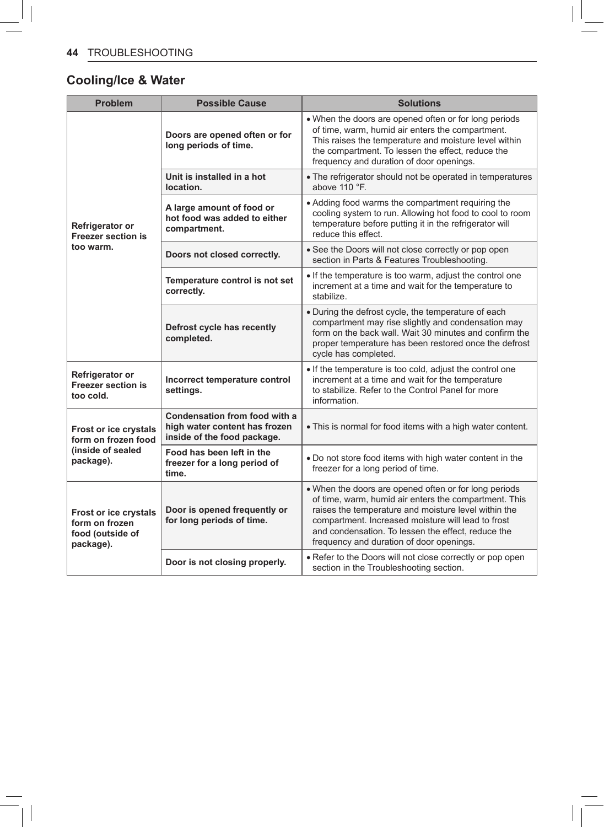# **Cooling/Ice & Water**

| <b>Problem</b>                                                                  | <b>Possible Cause</b>                                                                         | <b>Solutions</b>                                                                                                                                                                                                                                                                                                               |
|---------------------------------------------------------------------------------|-----------------------------------------------------------------------------------------------|--------------------------------------------------------------------------------------------------------------------------------------------------------------------------------------------------------------------------------------------------------------------------------------------------------------------------------|
| Refrigerator or<br><b>Freezer section is</b><br>too warm.                       | Doors are opened often or for<br>long periods of time.                                        | . When the doors are opened often or for long periods<br>of time, warm, humid air enters the compartment.<br>This raises the temperature and moisture level within<br>the compartment. To lessen the effect, reduce the<br>frequency and duration of door openings.                                                            |
|                                                                                 | Unit is installed in a hot<br>location.                                                       | • The refrigerator should not be operated in temperatures<br>above 110 °F.                                                                                                                                                                                                                                                     |
|                                                                                 | A large amount of food or<br>hot food was added to either<br>compartment.                     | • Adding food warms the compartment requiring the<br>cooling system to run. Allowing hot food to cool to room<br>temperature before putting it in the refrigerator will<br>reduce this effect.                                                                                                                                 |
|                                                                                 | Doors not closed correctly.                                                                   | • See the Doors will not close correctly or pop open<br>section in Parts & Features Troubleshooting.                                                                                                                                                                                                                           |
|                                                                                 | Temperature control is not set<br>correctly.                                                  | . If the temperature is too warm, adjust the control one<br>increment at a time and wait for the temperature to<br>stabilize.                                                                                                                                                                                                  |
|                                                                                 | Defrost cycle has recently<br>completed.                                                      | . During the defrost cycle, the temperature of each<br>compartment may rise slightly and condensation may<br>form on the back wall. Wait 30 minutes and confirm the<br>proper temperature has been restored once the defrost<br>cycle has completed.                                                                           |
| Refrigerator or<br><b>Freezer section is</b><br>too cold.                       | Incorrect temperature control<br>settings.                                                    | • If the temperature is too cold, adjust the control one<br>increment at a time and wait for the temperature<br>to stabilize. Refer to the Control Panel for more<br>information.                                                                                                                                              |
| Frost or ice crystals<br>form on frozen food<br>(inside of sealed<br>package).  | Condensation from food with a<br>high water content has frozen<br>inside of the food package. | . This is normal for food items with a high water content.                                                                                                                                                                                                                                                                     |
|                                                                                 | Food has been left in the<br>freezer for a long period of<br>time.                            | . Do not store food items with high water content in the<br>freezer for a long period of time.                                                                                                                                                                                                                                 |
| <b>Frost or ice crystals</b><br>form on frozen<br>food (outside of<br>package). | Door is opened frequently or<br>for long periods of time.                                     | . When the doors are opened often or for long periods<br>of time, warm, humid air enters the compartment. This<br>raises the temperature and moisture level within the<br>compartment. Increased moisture will lead to frost<br>and condensation. To lessen the effect, reduce the<br>frequency and duration of door openings. |
|                                                                                 | Door is not closing properly.                                                                 | • Refer to the Doors will not close correctly or pop open<br>section in the Troubleshooting section.                                                                                                                                                                                                                           |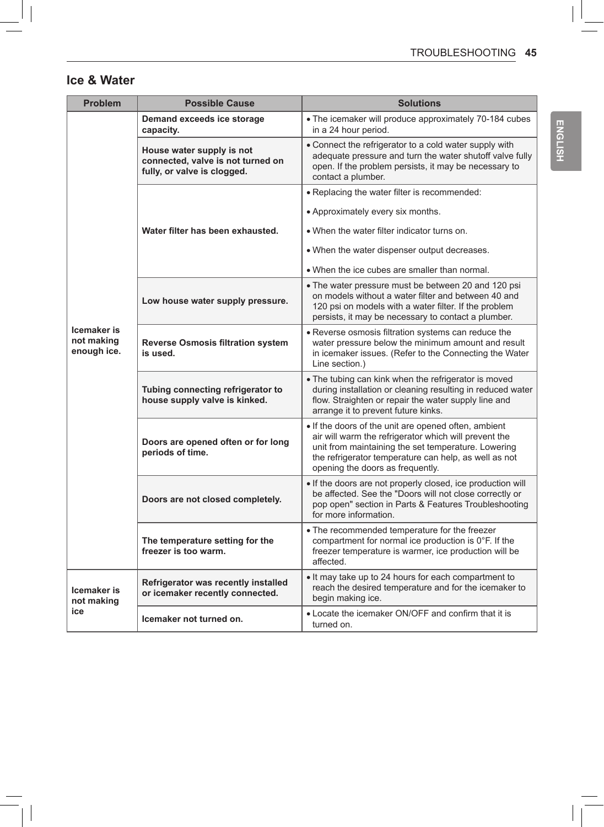## **Ice & Water**

| <b>Problem</b>                           | <b>Possible Cause</b>                                                                         | <b>Solutions</b>                                                                                                                                                                                                                                                  |
|------------------------------------------|-----------------------------------------------------------------------------------------------|-------------------------------------------------------------------------------------------------------------------------------------------------------------------------------------------------------------------------------------------------------------------|
|                                          | Demand exceeds ice storage<br>capacity.                                                       | • The icemaker will produce approximately 70-184 cubes<br>in a 24 hour period.                                                                                                                                                                                    |
|                                          | House water supply is not<br>connected, valve is not turned on<br>fully, or valve is clogged. | • Connect the refrigerator to a cold water supply with<br>adequate pressure and turn the water shutoff valve fully<br>open. If the problem persists, it may be necessary to<br>contact a plumber.                                                                 |
|                                          |                                                                                               | . Replacing the water filter is recommended:                                                                                                                                                                                                                      |
|                                          | Water filter has been exhausted.                                                              | • Approximately every six months.                                                                                                                                                                                                                                 |
|                                          |                                                                                               | • When the water filter indicator turns on.                                                                                                                                                                                                                       |
|                                          |                                                                                               | • When the water dispenser output decreases.                                                                                                                                                                                                                      |
|                                          |                                                                                               | • When the ice cubes are smaller than normal.                                                                                                                                                                                                                     |
| Icemaker is<br>not making<br>enough ice. | Low house water supply pressure.                                                              | • The water pressure must be between 20 and 120 psi<br>on models without a water filter and between 40 and<br>120 psi on models with a water filter. If the problem<br>persists, it may be necessary to contact a plumber.                                        |
|                                          | <b>Reverse Osmosis filtration system</b><br>is used.                                          | • Reverse osmosis filtration systems can reduce the<br>water pressure below the minimum amount and result<br>in icemaker issues. (Refer to the Connecting the Water<br>Line section.)                                                                             |
|                                          | Tubing connecting refrigerator to<br>house supply valve is kinked.                            | • The tubing can kink when the refrigerator is moved<br>during installation or cleaning resulting in reduced water<br>flow. Straighten or repair the water supply line and<br>arrange it to prevent future kinks.                                                 |
|                                          | Doors are opened often or for long<br>periods of time.                                        | . If the doors of the unit are opened often, ambient<br>air will warm the refrigerator which will prevent the<br>unit from maintaining the set temperature. Lowering<br>the refrigerator temperature can help, as well as not<br>opening the doors as frequently. |
|                                          | Doors are not closed completely.                                                              | . If the doors are not properly closed, ice production will<br>be affected. See the "Doors will not close correctly or<br>pop open" section in Parts & Features Troubleshooting<br>for more information.                                                          |
|                                          | The temperature setting for the<br>freezer is too warm.                                       | • The recommended temperature for the freezer<br>compartment for normal ice production is 0°F. If the<br>freezer temperature is warmer, ice production will be<br>affected.                                                                                       |
| Icemaker is<br>not making<br>ice         | Refrigerator was recently installed<br>or icemaker recently connected.                        | • It may take up to 24 hours for each compartment to<br>reach the desired temperature and for the icemaker to<br>begin making ice.                                                                                                                                |
|                                          | Icemaker not turned on.                                                                       | • Locate the icemaker ON/OFF and confirm that it is<br>turned on.                                                                                                                                                                                                 |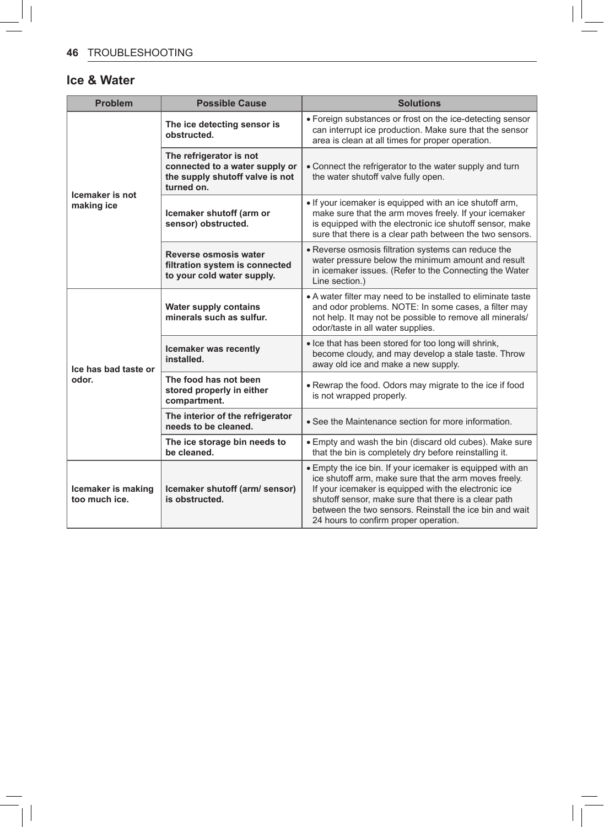### **Ice & Water**

| <b>Problem</b>                      | <b>Possible Cause</b>                                                                                      | <b>Solutions</b>                                                                                                                                                                                                                                                                                                                       |
|-------------------------------------|------------------------------------------------------------------------------------------------------------|----------------------------------------------------------------------------------------------------------------------------------------------------------------------------------------------------------------------------------------------------------------------------------------------------------------------------------------|
| Icemaker is not<br>making ice       | The ice detecting sensor is<br>obstructed.                                                                 | • Foreign substances or frost on the ice-detecting sensor<br>can interrupt ice production. Make sure that the sensor<br>area is clean at all times for proper operation.                                                                                                                                                               |
|                                     | The refrigerator is not<br>connected to a water supply or<br>the supply shutoff valve is not<br>turned on. | • Connect the refrigerator to the water supply and turn<br>the water shutoff valve fully open.                                                                                                                                                                                                                                         |
|                                     | Icemaker shutoff (arm or<br>sensor) obstructed.                                                            | • If your icemaker is equipped with an ice shutoff arm,<br>make sure that the arm moves freely. If your icemaker<br>is equipped with the electronic ice shutoff sensor, make<br>sure that there is a clear path between the two sensors.                                                                                               |
|                                     | Reverse osmosis water<br>filtration system is connected<br>to your cold water supply.                      | • Reverse osmosis filtration systems can reduce the<br>water pressure below the minimum amount and result<br>in icemaker issues. (Refer to the Connecting the Water<br>Line section.)                                                                                                                                                  |
| Ice has bad taste or<br>odor.       | <b>Water supply contains</b><br>minerals such as sulfur.                                                   | • A water filter may need to be installed to eliminate taste<br>and odor problems. NOTE: In some cases, a filter may<br>not help. It may not be possible to remove all minerals/<br>odor/taste in all water supplies.                                                                                                                  |
|                                     | Icemaker was recently<br>installed.                                                                        | • Ice that has been stored for too long will shrink,<br>become cloudy, and may develop a stale taste. Throw<br>away old ice and make a new supply.                                                                                                                                                                                     |
|                                     | The food has not been<br>stored properly in either<br>compartment.                                         | . Rewrap the food. Odors may migrate to the ice if food<br>is not wrapped properly.                                                                                                                                                                                                                                                    |
|                                     | The interior of the refrigerator<br>needs to be cleaned.                                                   | • See the Maintenance section for more information.                                                                                                                                                                                                                                                                                    |
|                                     | The ice storage bin needs to<br>be cleaned.                                                                | • Empty and wash the bin (discard old cubes). Make sure<br>that the bin is completely dry before reinstalling it.                                                                                                                                                                                                                      |
| Icemaker is making<br>too much ice. | Icemaker shutoff (arm/ sensor)<br>is obstructed.                                                           | • Empty the ice bin. If your icemaker is equipped with an<br>ice shutoff arm, make sure that the arm moves freely.<br>If your icemaker is equipped with the electronic ice<br>shutoff sensor, make sure that there is a clear path<br>between the two sensors. Reinstall the ice bin and wait<br>24 hours to confirm proper operation. |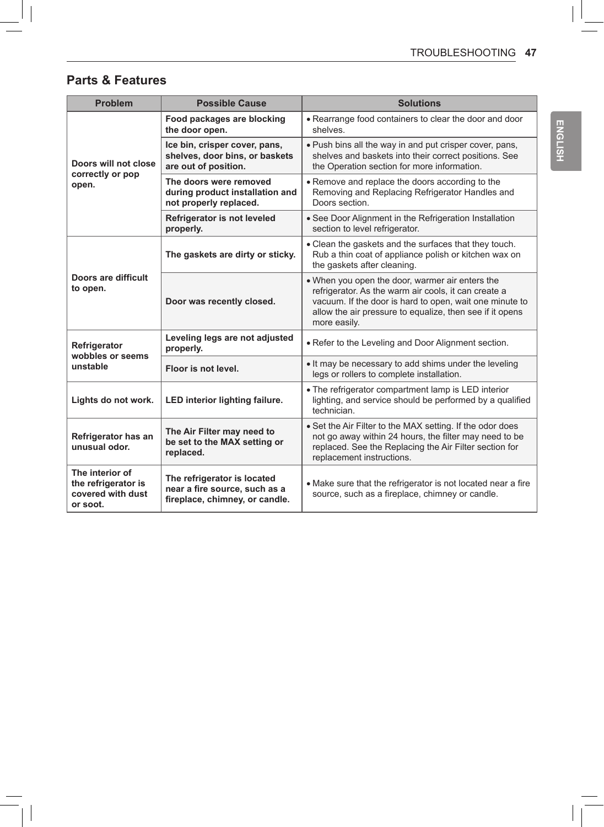## **Parts & Features**

| <b>Problem</b>                                                          | <b>Possible Cause</b>                                                                          | <b>Solutions</b>                                                                                                                                                                                                                               |  |
|-------------------------------------------------------------------------|------------------------------------------------------------------------------------------------|------------------------------------------------------------------------------------------------------------------------------------------------------------------------------------------------------------------------------------------------|--|
| Doors will not close<br>correctly or pop<br>open.                       | Food packages are blocking<br>the door open.                                                   | • Rearrange food containers to clear the door and door<br>shelves.                                                                                                                                                                             |  |
|                                                                         | Ice bin, crisper cover, pans,<br>shelves, door bins, or baskets<br>are out of position.        | . Push bins all the way in and put crisper cover, pans,<br>shelves and baskets into their correct positions. See<br>the Operation section for more information.                                                                                |  |
|                                                                         | The doors were removed<br>during product installation and<br>not properly replaced.            | • Remove and replace the doors according to the<br>Removing and Replacing Refrigerator Handles and<br>Doors section.                                                                                                                           |  |
|                                                                         | Refrigerator is not leveled<br>properly.                                                       | · See Door Alignment in the Refrigeration Installation<br>section to level refrigerator.                                                                                                                                                       |  |
| Doors are difficult<br>to open.                                         | The gaskets are dirty or sticky.                                                               | • Clean the gaskets and the surfaces that they touch.<br>Rub a thin coat of appliance polish or kitchen wax on<br>the gaskets after cleaning.                                                                                                  |  |
|                                                                         | Door was recently closed.                                                                      | . When you open the door, warmer air enters the<br>refrigerator. As the warm air cools, it can create a<br>vacuum. If the door is hard to open, wait one minute to<br>allow the air pressure to equalize, then see if it opens<br>more easily. |  |
| Refrigerator<br>wobbles or seems<br>unstable                            | Leveling legs are not adjusted<br>properly.                                                    | . Refer to the Leveling and Door Alignment section.                                                                                                                                                                                            |  |
|                                                                         | Floor is not level.                                                                            | . It may be necessary to add shims under the leveling<br>legs or rollers to complete installation.                                                                                                                                             |  |
| Lights do not work.                                                     | LED interior lighting failure.                                                                 | . The refrigerator compartment lamp is LED interior<br>lighting, and service should be performed by a qualified<br>technician.                                                                                                                 |  |
| Refrigerator has an<br>unusual odor.                                    | The Air Filter may need to<br>be set to the MAX setting or<br>replaced.                        | • Set the Air Filter to the MAX setting. If the odor does<br>not go away within 24 hours, the filter may need to be<br>replaced. See the Replacing the Air Filter section for<br>replacement instructions.                                     |  |
| The interior of<br>the refrigerator is<br>covered with dust<br>or soot. | The refrigerator is located<br>near a fire source, such as a<br>fireplace, chimney, or candle. | • Make sure that the refrigerator is not located near a fire<br>source, such as a fireplace, chimney or candle.                                                                                                                                |  |